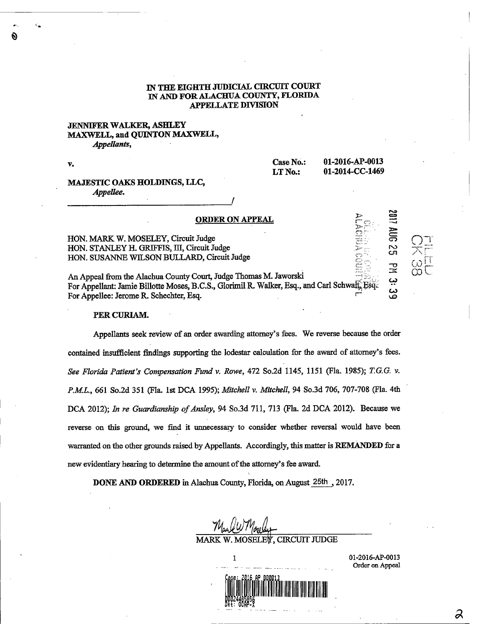# IN THE EIGHTH JUDICIAL CIRCUIT COURT IN AND FOR ALACHUA COUNTY, FLORIDA APPELLATE DIVISION

#### JENNIFER WALKER, ASHLEY MAXWELL, and QUINTON MAXWELL, Appellants,

V.

Ŵ

Case No.: 01-2016-AP-0013 LT No.: 01-2014-CC-1469

 $\overline{\mathrm{O}}$ 

**B2 30V** 

لا بنا<br>ب

یں<br>م

#### MAJESTIC OAKS HOLDINGS, LLC, Appellee.

ORDER ON APPEAL HON. MARK W. MOSELEY, Circuit Judge HON. STANLEY H. GRIFFIS, III, Circuit Judge

HON. SUSANNE WILSON BULLARD, Circuit Judge

An Appeal from the Alachua County Court, Judge Thomas M. Jaworski For Appellant: Jamie Billotte Moses, B.C.S., Glorimil R. Walker, Esq., and Carl Schwatt, Esq. For Appellee: Jerome R. Schechter, Esq.

### PER CURLAM.

Appellants seek review of an order awarding attorney's fees. We reverse because the order contained insufficient findings supporting the lodestar calculation for the award of attorney's fees. See Florida Patient's Compensation Fund v. Rowe, 472 So.2d 1145, 1151 (Fla. 1985); T.G.G. v. P.M.L., 661 So.2d 351 (Fla. 1st DCA 1995); Mitchell v. Mitchell, 94 So.3d 706, 707-708 (Fla. 4th DCA 2012); In re Guardianship of Ansley, 94 So.3d 711, 713 (Fla. 2d DCA 2012). Because we reverse on this ground, we find it unnecessary to consider whether reversal would have been warranted on the other grounds raised by Appellants. Accordingly, this matter is REMANDED for a new evidentiary hearing to determine the amount of the attorney's fee award.

DONE AND ORDERED in Alachua County, Florida, on August 25th, 2017.

MARK W. MOSELEY, CIRCUIT JUDGE

1 01-2016-AP-0013 Order on Appeal